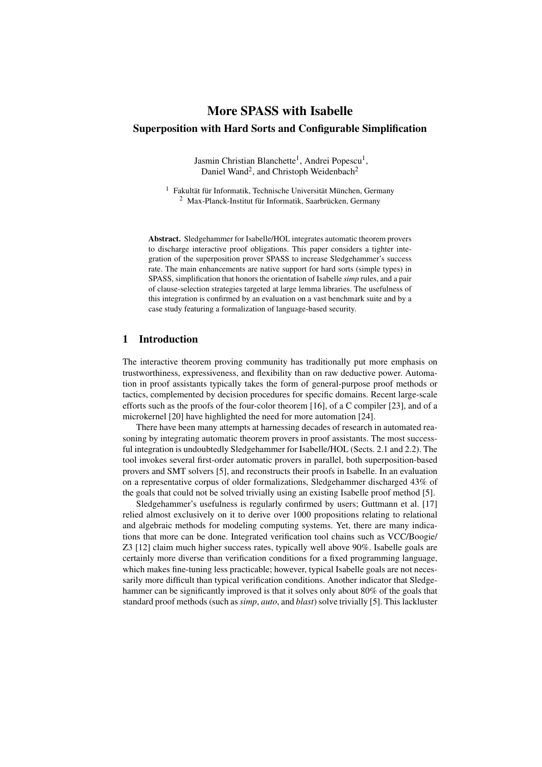# More SPASS with Isabelle Superposition with Hard Sorts and Configurable Simplification

Jasmin Christian Blanchette<sup>1</sup>, Andrei Popescu<sup>1</sup>, Daniel Wand<sup>2</sup>, and Christoph Weidenbach<sup>2</sup>

<sup>1</sup> Fakultät für Informatik, Technische Universität München, Germany <sup>2</sup> Max-Planck-Institut für Informatik, Saarbrücken, Germany

Abstract. Sledgehammer for Isabelle/HOL integrates automatic theorem provers to discharge interactive proof obligations. This paper considers a tighter integration of the superposition prover SPASS to increase Sledgehammer's success rate. The main enhancements are native support for hard sorts (simple types) in SPASS, simplification that honors the orientation of Isabelle *simp* rules, and a pair of clause-selection strategies targeted at large lemma libraries. The usefulness of this integration is confirmed by an evaluation on a vast benchmark suite and by a case study featuring a formalization of language-based security.

## 1 Introduction

The interactive theorem proving community has traditionally put more emphasis on trustworthiness, expressiveness, and flexibility than on raw deductive power. Automation in proof assistants typically takes the form of general-purpose proof methods or tactics, complemented by decision procedures for specific domains. Recent large-scale efforts such as the proofs of the four-color theorem [16], of a C compiler [23], and of a microkernel [20] have highlighted the need for more automation [24].

There have been many attempts at harnessing decades of research in automated reasoning by integrating automatic theorem provers in proof assistants. The most successful integration is undoubtedly Sledgehammer for Isabelle/HOL (Sects. 2.1 and 2.2). The tool invokes several first-order automatic provers in parallel, both superposition-based provers and SMT solvers [5], and reconstructs their proofs in Isabelle. In an evaluation on a representative corpus of older formalizations, Sledgehammer discharged 43% of the goals that could not be solved trivially using an existing Isabelle proof method [5].

Sledgehammer's usefulness is regularly confirmed by users; Guttmann et al. [17] relied almost exclusively on it to derive over 1000 propositions relating to relational and algebraic methods for modeling computing systems. Yet, there are many indications that more can be done. Integrated verification tool chains such as VCC/Boogie/ Z3 [12] claim much higher success rates, typically well above 90%. Isabelle goals are certainly more diverse than verification conditions for a fixed programming language, which makes fine-tuning less practicable; however, typical Isabelle goals are not necessarily more difficult than typical verification conditions. Another indicator that Sledgehammer can be significantly improved is that it solves only about 80% of the goals that standard proof methods (such as *simp*, *auto*, and *blast*) solve trivially [5]. This lackluster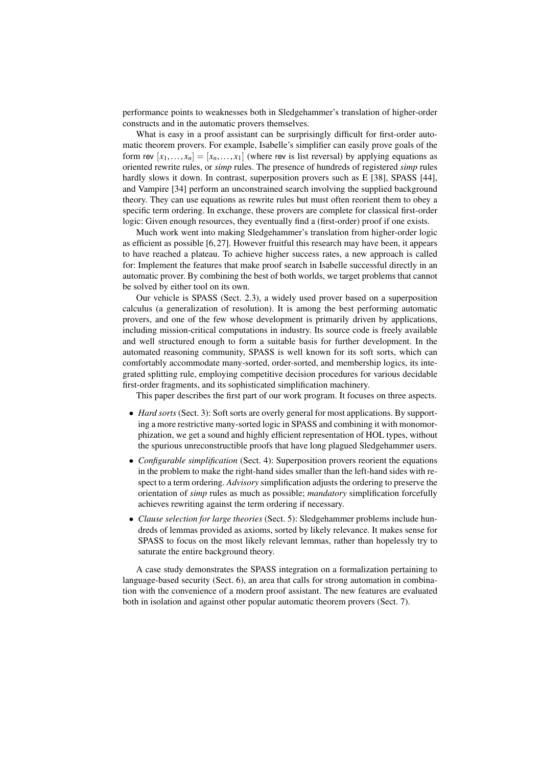performance points to weaknesses both in Sledgehammer's translation of higher-order constructs and in the automatic provers themselves.

What is easy in a proof assistant can be surprisingly difficult for first-order automatic theorem provers. For example, Isabelle's simplifier can easily prove goals of the form rev  $[x_1,...,x_n] = [x_n,...,x_1]$  (where rev is list reversal) by applying equations as oriented rewrite rules, or *simp* rules. The presence of hundreds of registered *simp* rules hardly slows it down. In contrast, superposition provers such as E [38], SPASS [44], and Vampire [34] perform an unconstrained search involving the supplied background theory. They can use equations as rewrite rules but must often reorient them to obey a specific term ordering. In exchange, these provers are complete for classical first-order logic: Given enough resources, they eventually find a (first-order) proof if one exists.

Much work went into making Sledgehammer's translation from higher-order logic as efficient as possible [6, 27]. However fruitful this research may have been, it appears to have reached a plateau. To achieve higher success rates, a new approach is called for: Implement the features that make proof search in Isabelle successful directly in an automatic prover. By combining the best of both worlds, we target problems that cannot be solved by either tool on its own.

Our vehicle is SPASS (Sect. 2.3), a widely used prover based on a superposition calculus (a generalization of resolution). It is among the best performing automatic provers, and one of the few whose development is primarily driven by applications, including mission-critical computations in industry. Its source code is freely available and well structured enough to form a suitable basis for further development. In the automated reasoning community, SPASS is well known for its soft sorts, which can comfortably accommodate many-sorted, order-sorted, and membership logics, its integrated splitting rule, employing competitive decision procedures for various decidable first-order fragments, and its sophisticated simplification machinery.

This paper describes the first part of our work program. It focuses on three aspects.

- *Hard sorts* (Sect. 3): Soft sorts are overly general for most applications. By supporting a more restrictive many-sorted logic in SPASS and combining it with monomorphization, we get a sound and highly efficient representation of HOL types, without the spurious unreconstructible proofs that have long plagued Sledgehammer users.
- *Configurable simplification* (Sect. 4): Superposition provers reorient the equations in the problem to make the right-hand sides smaller than the left-hand sides with respect to a term ordering. *Advisory* simplification adjusts the ordering to preserve the orientation of *simp* rules as much as possible; *mandatory* simplification forcefully achieves rewriting against the term ordering if necessary.
- *Clause selection for large theories* (Sect. 5): Sledgehammer problems include hundreds of lemmas provided as axioms, sorted by likely relevance. It makes sense for SPASS to focus on the most likely relevant lemmas, rather than hopelessly try to saturate the entire background theory.

A case study demonstrates the SPASS integration on a formalization pertaining to language-based security (Sect. 6), an area that calls for strong automation in combination with the convenience of a modern proof assistant. The new features are evaluated both in isolation and against other popular automatic theorem provers (Sect. 7).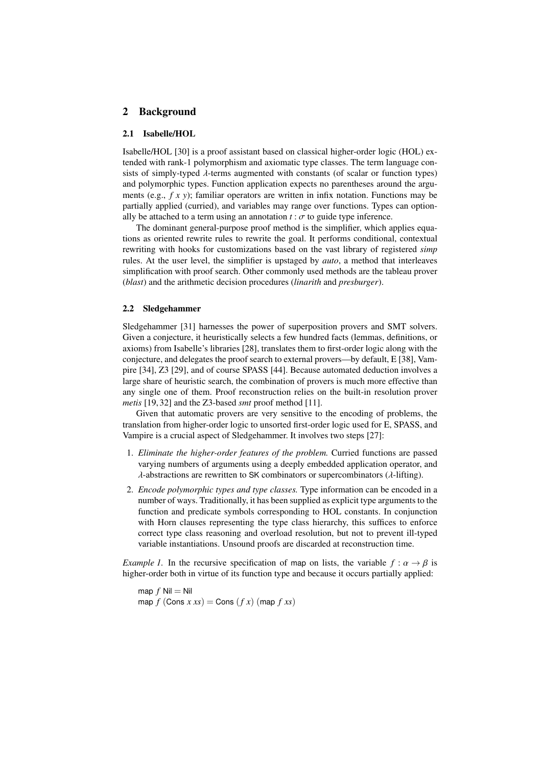# 2 Background

#### 2.1 Isabelle/HOL

Isabelle/HOL [30] is a proof assistant based on classical higher-order logic (HOL) extended with rank-1 polymorphism and axiomatic type classes. The term language consists of simply-typed λ-terms augmented with constants (of scalar or function types) and polymorphic types. Function application expects no parentheses around the arguments (e.g., *f x y*); familiar operators are written in infix notation. Functions may be partially applied (curried), and variables may range over functions. Types can optionally be attached to a term using an annotation  $t : \sigma$  to guide type inference.

The dominant general-purpose proof method is the simplifier, which applies equations as oriented rewrite rules to rewrite the goal. It performs conditional, contextual rewriting with hooks for customizations based on the vast library of registered *simp* rules. At the user level, the simplifier is upstaged by *auto*, a method that interleaves simplification with proof search. Other commonly used methods are the tableau prover (*blast*) and the arithmetic decision procedures (*linarith* and *presburger*).

#### 2.2 Sledgehammer

Sledgehammer [31] harnesses the power of superposition provers and SMT solvers. Given a conjecture, it heuristically selects a few hundred facts (lemmas, definitions, or axioms) from Isabelle's libraries [28], translates them to first-order logic along with the conjecture, and delegates the proof search to external provers—by default, E [38], Vampire [34], Z3 [29], and of course SPASS [44]. Because automated deduction involves a large share of heuristic search, the combination of provers is much more effective than any single one of them. Proof reconstruction relies on the built-in resolution prover *metis* [19, 32] and the Z3-based *smt* proof method [11].

Given that automatic provers are very sensitive to the encoding of problems, the translation from higher-order logic to unsorted first-order logic used for E, SPASS, and Vampire is a crucial aspect of Sledgehammer. It involves two steps [27]:

- 1. *Eliminate the higher-order features of the problem.* Curried functions are passed varying numbers of arguments using a deeply embedded application operator, and  $\lambda$ -abstractions are rewritten to SK combinators or supercombinators ( $\lambda$ -lifting).
- 2. *Encode polymorphic types and type classes.* Type information can be encoded in a number of ways. Traditionally, it has been supplied as explicit type arguments to the function and predicate symbols corresponding to HOL constants. In conjunction with Horn clauses representing the type class hierarchy, this suffices to enforce correct type class reasoning and overload resolution, but not to prevent ill-typed variable instantiations. Unsound proofs are discarded at reconstruction time.

*Example 1.* In the recursive specification of map on lists, the variable  $f : \alpha \to \beta$  is higher-order both in virtue of its function type and because it occurs partially applied:

map  $f$  Nil = Nil  $map f$  (Cons  $x$   $xx$ ) = Cons  $(f x)$  (map  $f$   $xx$ )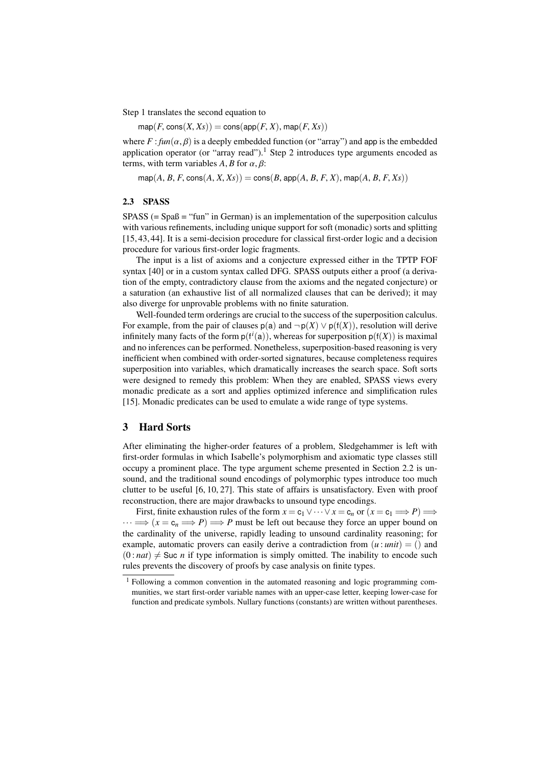Step 1 translates the second equation to

 $map(F, cons(X, Xs)) = cons(app(F, X), map(F, Xs))$ 

where  $F: \text{fun}(\alpha, \beta)$  is a deeply embedded function (or "array") and app is the embedded application operator (or "array read").<sup>1</sup> Step 2 introduces type arguments encoded as terms, with term variables  $A, B$  for  $\alpha, \beta$ :

 $map(A, B, F, \text{cons}(A, X, Xs)) = \text{cons}(B, \text{app}(A, B, F, X), \text{map}(A, B, F, Xs))$ 

#### 2.3 SPASS

SPASS (= Spaß = "fun" in German) is an implementation of the superposition calculus with various refinements, including unique support for soft (monadic) sorts and splitting [15, 43, 44]. It is a semi-decision procedure for classical first-order logic and a decision procedure for various first-order logic fragments.

The input is a list of axioms and a conjecture expressed either in the TPTP FOF syntax [40] or in a custom syntax called DFG. SPASS outputs either a proof (a derivation of the empty, contradictory clause from the axioms and the negated conjecture) or a saturation (an exhaustive list of all normalized clauses that can be derived); it may also diverge for unprovable problems with no finite saturation.

Well-founded term orderings are crucial to the success of the superposition calculus. For example, from the pair of clauses  $p(a)$  and  $\neg p(X) \lor p(f(X))$ , resolution will derive infinitely many facts of the form  $p(f^{i}(a))$ , whereas for superposition  $p(f(X))$  is maximal and no inferences can be performed. Nonetheless, superposition-based reasoning is very inefficient when combined with order-sorted signatures, because completeness requires superposition into variables, which dramatically increases the search space. Soft sorts were designed to remedy this problem: When they are enabled, SPASS views every monadic predicate as a sort and applies optimized inference and simplification rules [15]. Monadic predicates can be used to emulate a wide range of type systems.

## 3 Hard Sorts

After eliminating the higher-order features of a problem, Sledgehammer is left with first-order formulas in which Isabelle's polymorphism and axiomatic type classes still occupy a prominent place. The type argument scheme presented in Section 2.2 is unsound, and the traditional sound encodings of polymorphic types introduce too much clutter to be useful [6, 10, 27]. This state of affairs is unsatisfactory. Even with proof reconstruction, there are major drawbacks to unsound type encodings.

First, finite exhaustion rules of the form  $x = c_1 \vee \cdots \vee x = c_n$  or  $(x = c_1 \Longrightarrow P) \Longrightarrow$  $\cdots \Longrightarrow (x = c_n \Longrightarrow P) \Longrightarrow P$  must be left out because they force an upper bound on the cardinality of the universe, rapidly leading to unsound cardinality reasoning; for example, automatic provers can easily derive a contradiction from  $(u : unit) = ()$  and  $(0 : nat) \neq$  Suc *n* if type information is simply omitted. The inability to encode such rules prevents the discovery of proofs by case analysis on finite types.

<sup>1</sup> Following a common convention in the automated reasoning and logic programming communities, we start first-order variable names with an upper-case letter, keeping lower-case for function and predicate symbols. Nullary functions (constants) are written without parentheses.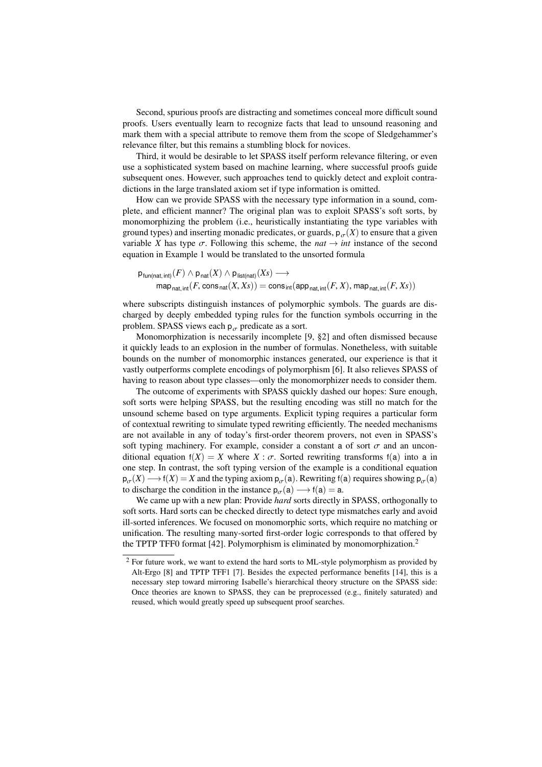Second, spurious proofs are distracting and sometimes conceal more difficult sound proofs. Users eventually learn to recognize facts that lead to unsound reasoning and mark them with a special attribute to remove them from the scope of Sledgehammer's relevance filter, but this remains a stumbling block for novices.

Third, it would be desirable to let SPASS itself perform relevance filtering, or even use a sophisticated system based on machine learning, where successful proofs guide subsequent ones. However, such approaches tend to quickly detect and exploit contradictions in the large translated axiom set if type information is omitted.

How can we provide SPASS with the necessary type information in a sound, complete, and efficient manner? The original plan was to exploit SPASS's soft sorts, by monomorphizing the problem (i.e., heuristically instantiating the type variables with ground types) and inserting monadic predicates, or guards,  $p_{\sigma}(X)$  to ensure that a given variable *X* has type  $\sigma$ . Following this scheme, the *nat*  $\rightarrow$  *int* instance of the second equation in Example 1 would be translated to the unsorted formula

$$
\mathsf{p}_{\mathsf{fun}(\mathsf{nat},\mathsf{int})}(F) \land \mathsf{p}_{\mathsf{nat}}(X) \land \mathsf{p}_{\mathsf{list}(\mathsf{nat})}(Xs) \longrightarrow \mathsf{map}_{\mathsf{nat},\mathsf{int}}(F,\mathsf{cons}_{\mathsf{nat}}(X,Xs)) = \mathsf{cons}_{\mathsf{int}}(\mathsf{app}_{\mathsf{nat},\mathsf{int}}(F,X),\mathsf{map}_{\mathsf{nat},\mathsf{int}}(F,Xs))
$$

where subscripts distinguish instances of polymorphic symbols. The guards are discharged by deeply embedded typing rules for the function symbols occurring in the problem. SPASS views each  $p_{\sigma}$  predicate as a sort.

Monomorphization is necessarily incomplete [9, §2] and often dismissed because it quickly leads to an explosion in the number of formulas. Nonetheless, with suitable bounds on the number of monomorphic instances generated, our experience is that it vastly outperforms complete encodings of polymorphism [6]. It also relieves SPASS of having to reason about type classes—only the monomorphizer needs to consider them.

The outcome of experiments with SPASS quickly dashed our hopes: Sure enough, soft sorts were helping SPASS, but the resulting encoding was still no match for the unsound scheme based on type arguments. Explicit typing requires a particular form of contextual rewriting to simulate typed rewriting efficiently. The needed mechanisms are not available in any of today's first-order theorem provers, not even in SPASS's soft typing machinery. For example, consider a constant a of sort  $\sigma$  and an unconditional equation  $f(X) = X$  where  $X : \sigma$ . Sorted rewriting transforms  $f(a)$  into a in one step. In contrast, the soft typing version of the example is a conditional equation  $p_{\sigma}(X) \longrightarrow f(X) = X$  and the typing axiom  $p_{\sigma}(a)$ . Rewriting  $f(a)$  requires showing  $p_{\sigma}(a)$ <br>to discharge the condition in the instance  $p_{\sigma}(a) \longrightarrow f(a) - a$ to discharge the condition in the instance  $p_{\sigma}(a) \rightarrow f(a) = a$ .

We came up with a new plan: Provide *hard* sorts directly in SPASS, orthogonally to soft sorts. Hard sorts can be checked directly to detect type mismatches early and avoid ill-sorted inferences. We focused on monomorphic sorts, which require no matching or unification. The resulting many-sorted first-order logic corresponds to that offered by the TPTP TFF0 format [42]. Polymorphism is eliminated by monomorphization.<sup>2</sup>

<sup>2</sup> For future work, we want to extend the hard sorts to ML-style polymorphism as provided by Alt-Ergo [8] and TPTP TFF1 [7]. Besides the expected performance benefits [14], this is a necessary step toward mirroring Isabelle's hierarchical theory structure on the SPASS side: Once theories are known to SPASS, they can be preprocessed (e.g., finitely saturated) and reused, which would greatly speed up subsequent proof searches.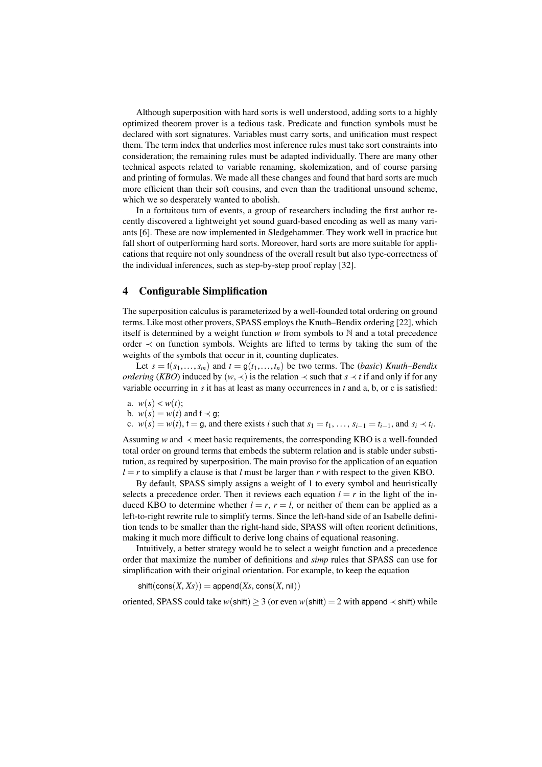Although superposition with hard sorts is well understood, adding sorts to a highly optimized theorem prover is a tedious task. Predicate and function symbols must be declared with sort signatures. Variables must carry sorts, and unification must respect them. The term index that underlies most inference rules must take sort constraints into consideration; the remaining rules must be adapted individually. There are many other technical aspects related to variable renaming, skolemization, and of course parsing and printing of formulas. We made all these changes and found that hard sorts are much more efficient than their soft cousins, and even than the traditional unsound scheme, which we so desperately wanted to abolish.

In a fortuitous turn of events, a group of researchers including the first author recently discovered a lightweight yet sound guard-based encoding as well as many variants [6]. These are now implemented in Sledgehammer. They work well in practice but fall short of outperforming hard sorts. Moreover, hard sorts are more suitable for applications that require not only soundness of the overall result but also type-correctness of the individual inferences, such as step-by-step proof replay [32].

#### 4 Configurable Simplification

The superposition calculus is parameterized by a well-founded total ordering on ground terms. Like most other provers, SPASS employs the Knuth–Bendix ordering [22], which itself is determined by a weight function  $w$  from symbols to  $\mathbb N$  and a total precedence order  $\prec$  on function symbols. Weights are lifted to terms by taking the sum of the weights of the symbols that occur in it, counting duplicates.

Let  $s = f(s_1, \ldots, s_m)$  and  $t = g(t_1, \ldots, t_n)$  be two terms. The *(basic) Knuth–Bendix ordering* (*KBO*) induced by  $(w, \prec)$  is the relation  $\prec$  such that  $s \prec t$  if and only if for any variable occurring in *s* it has at least as many occurrences in *t* and a, b, or c is satisfied:

- a.  $w(s) < w(t)$ ;
- b.  $w(s) = w(t)$  and  $f \prec g$ ;
- c. *w*(*s*) = *w*(*t*),  $f$  = g, and there exists *i* such that  $s_1 = t_1, \ldots, s_{i-1} = t_{i-1}$ , and  $s_i \prec t_i$ .

Assuming *w* and  $\prec$  meet basic requirements, the corresponding KBO is a well-founded total order on ground terms that embeds the subterm relation and is stable under substitution, as required by superposition. The main proviso for the application of an equation  $l = r$  to simplify a clause is that *l* must be larger than *r* with respect to the given KBO.

By default, SPASS simply assigns a weight of 1 to every symbol and heuristically selects a precedence order. Then it reviews each equation  $l = r$  in the light of the induced KBO to determine whether  $l = r$ ,  $r = l$ , or neither of them can be applied as a left-to-right rewrite rule to simplify terms. Since the left-hand side of an Isabelle definition tends to be smaller than the right-hand side, SPASS will often reorient definitions, making it much more difficult to derive long chains of equational reasoning.

Intuitively, a better strategy would be to select a weight function and a precedence order that maximize the number of definitions and *simp* rules that SPASS can use for simplification with their original orientation. For example, to keep the equation

 $\text{shift}(\text{cons}(X, X_S)) = \text{append}(X_S, \text{cons}(X, \text{nil}))$ 

oriented, SPASS could take *w*(shift)  $\geq$  3 (or even *w*(shift) = 2 with append  $\prec$  shift) while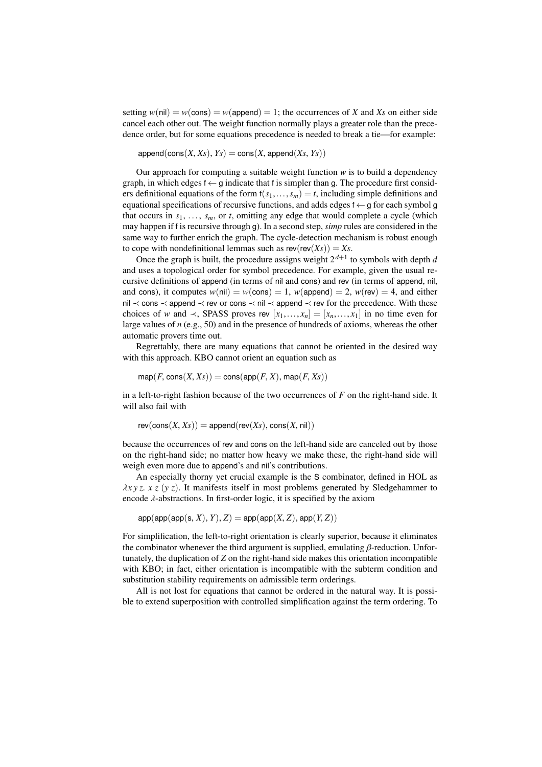setting  $w(nil) = w(\text{cons}) = w(\text{append}) = 1$ ; the occurrences of *X* and *Xs* on either side cancel each other out. The weight function normally plays a greater role than the precedence order, but for some equations precedence is needed to break a tie—for example:

 $append(cons(X, Xs), Ys) = cons(X, append(Xs, Ys))$ 

Our approach for computing a suitable weight function  $w$  is to build a dependency graph, in which edges  $f \leftarrow g$  indicate that f is simpler than g. The procedure first considers definitional equations of the form  $f(s_1,...,s_m) = t$ , including simple definitions and equational specifications of recursive functions, and adds edges  $f \leftarrow g$  for each symbol g that occurs in  $s_1, \ldots, s_m$ , or *t*, omitting any edge that would complete a cycle (which may happen if f is recursive through g). In a second step, *simp* rules are considered in the same way to further enrich the graph. The cycle-detection mechanism is robust enough to cope with nondefinitional lemmas such as  $rev(rev(Xs)) = Xs$ .

Once the graph is built, the procedure assigns weight  $2^{d+1}$  to symbols with depth *d* and uses a topological order for symbol precedence. For example, given the usual recursive definitions of append (in terms of nil and cons) and rev (in terms of append, nil, and cons), it computes  $w(nil) = w(\text{cons}) = 1$ ,  $w(\text{append}) = 2$ ,  $w(\text{rev}) = 4$ , and either nil ≺ cons ≺ append ≺ rev or cons ≺ nil ≺ append ≺ rev for the precedence. With these choices of *w* and  $\prec$ , SPASS proves rev  $[x_1,...,x_n] = [x_n,...,x_1]$  in no time even for large values of *n* (e.g., 50) and in the presence of hundreds of axioms, whereas the other automatic provers time out.

Regrettably, there are many equations that cannot be oriented in the desired way with this approach. KBO cannot orient an equation such as

 $map(F, cons(X, Xs)) = cons(ap(F, X), map(F, Xs))$ 

in a left-to-right fashion because of the two occurrences of *F* on the right-hand side. It will also fail with

$$
rev(cons(X, Xs)) = append(rev(Xs), cons(X, nil))
$$

because the occurrences of rev and cons on the left-hand side are canceled out by those on the right-hand side; no matter how heavy we make these, the right-hand side will weigh even more due to append's and nil's contributions.

An especially thorny yet crucial example is the S combinator, defined in HOL as  $\lambda x y z$ .  $x z (y z)$ . It manifests itself in most problems generated by Sledgehammer to encode  $\lambda$ -abstractions. In first-order logic, it is specified by the axiom

 $app(ap(p(\text{app}(s, X), Y), Z) = app(ap(X, Z), app(Y, Z))$ 

For simplification, the left-to-right orientation is clearly superior, because it eliminates the combinator whenever the third argument is supplied, emulating  $\beta$ -reduction. Unfortunately, the duplication of *Z* on the right-hand side makes this orientation incompatible with KBO; in fact, either orientation is incompatible with the subterm condition and substitution stability requirements on admissible term orderings.

All is not lost for equations that cannot be ordered in the natural way. It is possible to extend superposition with controlled simplification against the term ordering. To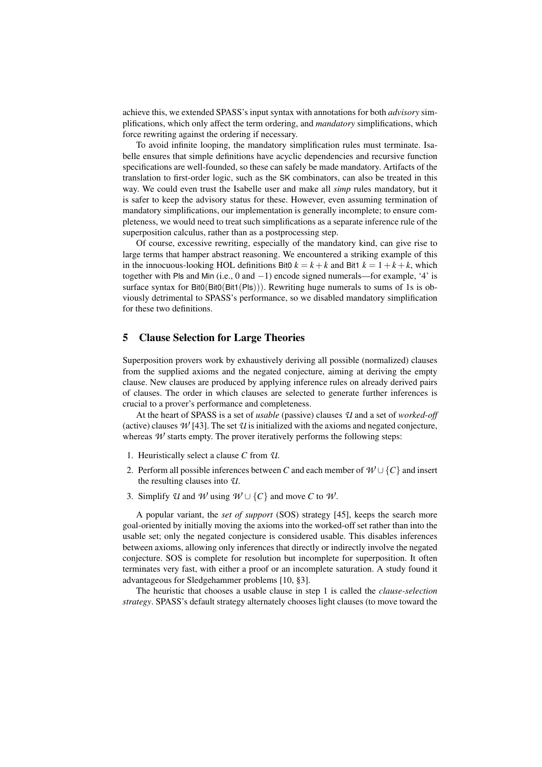achieve this, we extended SPASS's input syntax with annotations for both *advisory* simplifications, which only affect the term ordering, and *mandatory* simplifications, which force rewriting against the ordering if necessary.

To avoid infinite looping, the mandatory simplification rules must terminate. Isabelle ensures that simple definitions have acyclic dependencies and recursive function specifications are well-founded, so these can safely be made mandatory. Artifacts of the translation to first-order logic, such as the SK combinators, can also be treated in this way. We could even trust the Isabelle user and make all *simp* rules mandatory, but it is safer to keep the advisory status for these. However, even assuming termination of mandatory simplifications, our implementation is generally incomplete; to ensure completeness, we would need to treat such simplifications as a separate inference rule of the superposition calculus, rather than as a postprocessing step.

Of course, excessive rewriting, especially of the mandatory kind, can give rise to large terms that hamper abstract reasoning. We encountered a striking example of this in the innocuous-looking HOL definitions Bit0  $k = k + k$  and Bit1  $k = 1 + k + k$ , which together with Pls and Min (i.e., 0 and −1) encode signed numerals—for example, '4' is surface syntax for  $Bit0(Bit0(Bit1(Pls)))$ . Rewriting huge numerals to sums of 1s is obviously detrimental to SPASS's performance, so we disabled mandatory simplification for these two definitions.

## 5 Clause Selection for Large Theories

Superposition provers work by exhaustively deriving all possible (normalized) clauses from the supplied axioms and the negated conjecture, aiming at deriving the empty clause. New clauses are produced by applying inference rules on already derived pairs of clauses. The order in which clauses are selected to generate further inferences is crucial to a prover's performance and completeness.

At the heart of SPASS is a set of *usable* (passive) clauses *U* and a set of *worked-off* (active) clauses  $W[43]$ . The set  $U$  is initialized with the axioms and negated conjecture, whereas  $W$  starts empty. The prover iteratively performs the following steps:

- 1. Heuristically select a clause *C* from *U*.
- 2. Perform all possible inferences between *C* and each member of  $W \cup \{C\}$  and insert the resulting clauses into *U*.
- 3. Simplify *U* and *W* using  $W \cup \{C\}$  and move *C* to *W*.

A popular variant, the *set of support* (SOS) strategy [45], keeps the search more goal-oriented by initially moving the axioms into the worked-off set rather than into the usable set; only the negated conjecture is considered usable. This disables inferences between axioms, allowing only inferences that directly or indirectly involve the negated conjecture. SOS is complete for resolution but incomplete for superposition. It often terminates very fast, with either a proof or an incomplete saturation. A study found it advantageous for Sledgehammer problems [10, §3].

The heuristic that chooses a usable clause in step 1 is called the *clause-selection strategy*. SPASS's default strategy alternately chooses light clauses (to move toward the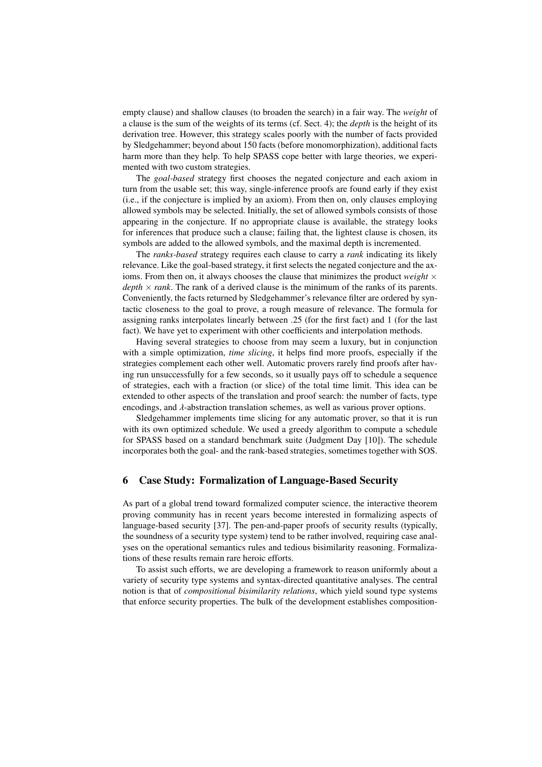empty clause) and shallow clauses (to broaden the search) in a fair way. The *weight* of a clause is the sum of the weights of its terms (cf. Sect. 4); the *depth* is the height of its derivation tree. However, this strategy scales poorly with the number of facts provided by Sledgehammer; beyond about 150 facts (before monomorphization), additional facts harm more than they help. To help SPASS cope better with large theories, we experimented with two custom strategies.

The *goal-based* strategy first chooses the negated conjecture and each axiom in turn from the usable set; this way, single-inference proofs are found early if they exist (i.e., if the conjecture is implied by an axiom). From then on, only clauses employing allowed symbols may be selected. Initially, the set of allowed symbols consists of those appearing in the conjecture. If no appropriate clause is available, the strategy looks for inferences that produce such a clause; failing that, the lightest clause is chosen, its symbols are added to the allowed symbols, and the maximal depth is incremented.

The *ranks-based* strategy requires each clause to carry a *rank* indicating its likely relevance. Like the goal-based strategy, it first selects the negated conjecture and the axioms. From then on, it always chooses the clause that minimizes the product *weight*  $\times$  $depth \times rank$ . The rank of a derived clause is the minimum of the ranks of its parents. Conveniently, the facts returned by Sledgehammer's relevance filter are ordered by syntactic closeness to the goal to prove, a rough measure of relevance. The formula for assigning ranks interpolates linearly between .25 (for the first fact) and 1 (for the last fact). We have yet to experiment with other coefficients and interpolation methods.

Having several strategies to choose from may seem a luxury, but in conjunction with a simple optimization, *time slicing*, it helps find more proofs, especially if the strategies complement each other well. Automatic provers rarely find proofs after having run unsuccessfully for a few seconds, so it usually pays off to schedule a sequence of strategies, each with a fraction (or slice) of the total time limit. This idea can be extended to other aspects of the translation and proof search: the number of facts, type encodings, and  $\lambda$ -abstraction translation schemes, as well as various prover options.

Sledgehammer implements time slicing for any automatic prover, so that it is run with its own optimized schedule. We used a greedy algorithm to compute a schedule for SPASS based on a standard benchmark suite (Judgment Day [10]). The schedule incorporates both the goal- and the rank-based strategies, sometimes together with SOS.

## 6 Case Study: Formalization of Language-Based Security

As part of a global trend toward formalized computer science, the interactive theorem proving community has in recent years become interested in formalizing aspects of language-based security [37]. The pen-and-paper proofs of security results (typically, the soundness of a security type system) tend to be rather involved, requiring case analyses on the operational semantics rules and tedious bisimilarity reasoning. Formalizations of these results remain rare heroic efforts.

To assist such efforts, we are developing a framework to reason uniformly about a variety of security type systems and syntax-directed quantitative analyses. The central notion is that of *compositional bisimilarity relations*, which yield sound type systems that enforce security properties. The bulk of the development establishes composition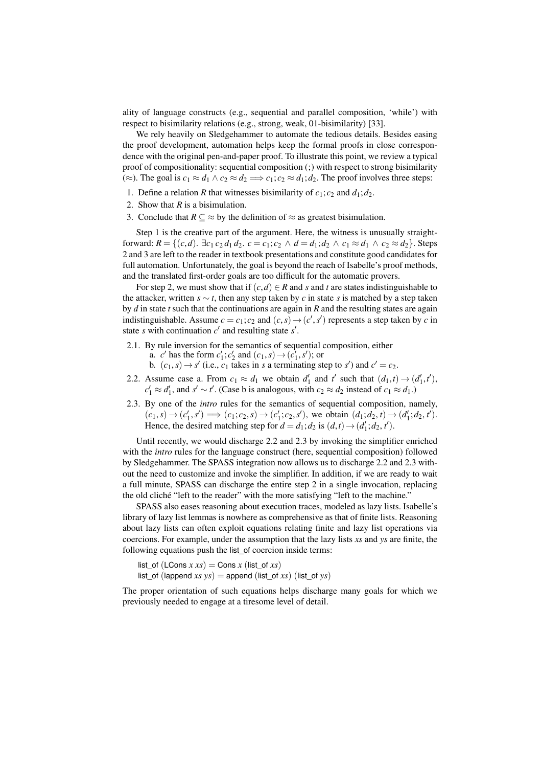ality of language constructs (e.g., sequential and parallel composition, 'while') with respect to bisimilarity relations (e.g., strong, weak, 01-bisimilarity) [33].

We rely heavily on Sledgehammer to automate the tedious details. Besides easing the proof development, automation helps keep the formal proofs in close correspondence with the original pen-and-paper proof. To illustrate this point, we review a typical proof of compositionality: sequential composition (;) with respect to strong bisimilarity (≈). The goal is  $c_1 \approx d_1 \land c_2 \approx d_2 \implies c_1; c_2 \approx d_1; d_2$ . The proof involves three steps:

- 1. Define a relation *R* that witnesses bisimilarity of  $c_1$ ;  $c_2$  and  $d_1$ ;  $d_2$ .
- 2. Show that *R* is a bisimulation.
- 3. Conclude that  $R \subseteq \approx$  by the definition of  $\approx$  as greatest bisimulation.

Step 1 is the creative part of the argument. Here, the witness is unusually straightforward:  $R = \{(c,d)$ . ∃*c*<sub>1</sub> *c*<sub>2</sub> *d*<sub>1</sub> *d*<sub>2</sub>. *c* = *c*<sub>1</sub>; *c*<sub>2</sub> ∧ *d* = *d*<sub>1</sub>; *d*<sub>2</sub> ∧ *c*<sub>1</sub> ≈ *d*<sub>1</sub> ∧ *c*<sub>2</sub> ≈ *d*<sub>2</sub>}. Steps 2 and 3 are left to the reader in textbook presentations and constitute good candidates for full automation. Unfortunately, the goal is beyond the reach of Isabelle's proof methods, and the translated first-order goals are too difficult for the automatic provers.

For step 2, we must show that if  $(c,d) \in R$  and *s* and *t* are states indistinguishable to the attacker, written  $s \sim t$ , then any step taken by *c* in state *s* is matched by a step taken by *d* in state *t* such that the continuations are again in *R* and the resulting states are again indistinguishable. Assume  $c = c_1$ ;  $c_2$  and  $(c, s) \rightarrow (c', s')$  represents a step taken by *c* in state *s* with continuation  $c'$  and resulting state  $s'$ state *s* with continuation  $c'$  and resulting state  $s'$ .

- 2.1. By rule inversion for the semantics of sequential composition, either a. *c'* has the form  $c'_1$ ;  $c'_2$  and  $(c_1, s) \rightarrow (c'_1, s')$ ; or<br>b.  $(c_1, s) \rightarrow s'$  (i.e., *c*<sub>1</sub> takes in s a terminating st
	- b.  $(c_1, s) \rightarrow s'$  (i.e.,  $c_1$  takes in *s* a terminating step to *s'*) and  $c' = c_2$ .
- 2.2. Assume case a. From  $c_1 \approx d_1$  we obtain  $d'_1$  and  $t'$  such that  $(d_1, t) \rightarrow (d'_1, t')$ ,  $c' \approx d'$  and  $s' \sim t'$  (Case h is analogous with  $c_2 \approx d_1$  instead of  $c_1 \approx d_1$ )  $c'_1 \approx d'_1$ , and  $s' \sim t'$ . (Case b is analogous, with  $c_2 \approx d_2$  instead of  $c_1 \approx d_1$ .)
- 2.3. By one of the *intro* rules for the semantics of sequential composition, namely,  $(c_1, s) \rightarrow (c'_1, s') \Longrightarrow (c_1; c_2, s) \rightarrow (c'_1; c_2, s')$ , we obtain  $(d_1; d_2, t) \rightarrow (d'_1; d_2, t')$ .<br>Hence the desired matching step for  $d = d$ ;  $d_2$  is  $(d, t) \rightarrow (d'_1; d_2, t')$ . Hence, the desired matching step for  $d = d_1$ ;  $d_2$  is  $(d, t) \rightarrow (d'_1; d_2, t')$ .

Until recently, we would discharge 2.2 and 2.3 by invoking the simplifier enriched with the *intro* rules for the language construct (here, sequential composition) followed by Sledgehammer. The SPASS integration now allows us to discharge 2.2 and 2.3 without the need to customize and invoke the simplifier. In addition, if we are ready to wait a full minute, SPASS can discharge the entire step 2 in a single invocation, replacing the old cliché "left to the reader" with the more satisfying "left to the machine."

SPASS also eases reasoning about execution traces, modeled as lazy lists. Isabelle's library of lazy list lemmas is nowhere as comprehensive as that of finite lists. Reasoning about lazy lists can often exploit equations relating finite and lazy list operations via coercions. For example, under the assumption that the lazy lists *xs* and *ys* are finite, the following equations push the list\_of coercion inside terms:

list of (LCons  $x xs$ ) = Cons  $x$  (list of  $xs$ ) list\_of (lappend *xs*  $ys$ ) = append (list\_of *xs*) (list\_of *ys*)

The proper orientation of such equations helps discharge many goals for which we previously needed to engage at a tiresome level of detail.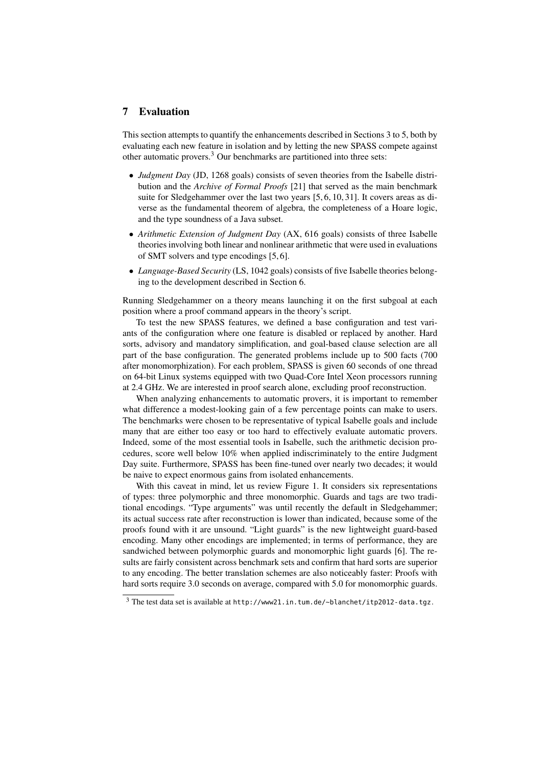## 7 Evaluation

This section attempts to quantify the enhancements described in Sections 3 to 5, both by evaluating each new feature in isolation and by letting the new SPASS compete against other automatic provers. $3$  Our benchmarks are partitioned into three sets:

- *Judgment Day* (JD, 1268 goals) consists of seven theories from the Isabelle distribution and the *Archive of Formal Proofs* [21] that served as the main benchmark suite for Sledgehammer over the last two years [5, 6, 10, 31]. It covers areas as diverse as the fundamental theorem of algebra, the completeness of a Hoare logic, and the type soundness of a Java subset.
- *Arithmetic Extension of Judgment Day* (AX, 616 goals) consists of three Isabelle theories involving both linear and nonlinear arithmetic that were used in evaluations of SMT solvers and type encodings [5, 6].
- *Language-Based Security* (LS, 1042 goals) consists of five Isabelle theories belonging to the development described in Section 6.

Running Sledgehammer on a theory means launching it on the first subgoal at each position where a proof command appears in the theory's script.

To test the new SPASS features, we defined a base configuration and test variants of the configuration where one feature is disabled or replaced by another. Hard sorts, advisory and mandatory simplification, and goal-based clause selection are all part of the base configuration. The generated problems include up to 500 facts (700 after monomorphization). For each problem, SPASS is given 60 seconds of one thread on 64-bit Linux systems equipped with two Quad-Core Intel Xeon processors running at 2.4 GHz. We are interested in proof search alone, excluding proof reconstruction.

When analyzing enhancements to automatic provers, it is important to remember what difference a modest-looking gain of a few percentage points can make to users. The benchmarks were chosen to be representative of typical Isabelle goals and include many that are either too easy or too hard to effectively evaluate automatic provers. Indeed, some of the most essential tools in Isabelle, such the arithmetic decision procedures, score well below 10% when applied indiscriminately to the entire Judgment Day suite. Furthermore, SPASS has been fine-tuned over nearly two decades; it would be naive to expect enormous gains from isolated enhancements.

With this caveat in mind, let us review Figure 1. It considers six representations of types: three polymorphic and three monomorphic. Guards and tags are two traditional encodings. "Type arguments" was until recently the default in Sledgehammer; its actual success rate after reconstruction is lower than indicated, because some of the proofs found with it are unsound. "Light guards" is the new lightweight guard-based encoding. Many other encodings are implemented; in terms of performance, they are sandwiched between polymorphic guards and monomorphic light guards [6]. The results are fairly consistent across benchmark sets and confirm that hard sorts are superior to any encoding. The better translation schemes are also noticeably faster: Proofs with hard sorts require 3.0 seconds on average, compared with 5.0 for monomorphic guards.

 $3$  The test data set is available at http://www21.in.tum.de/~blanchet/itp2012-data.tgz.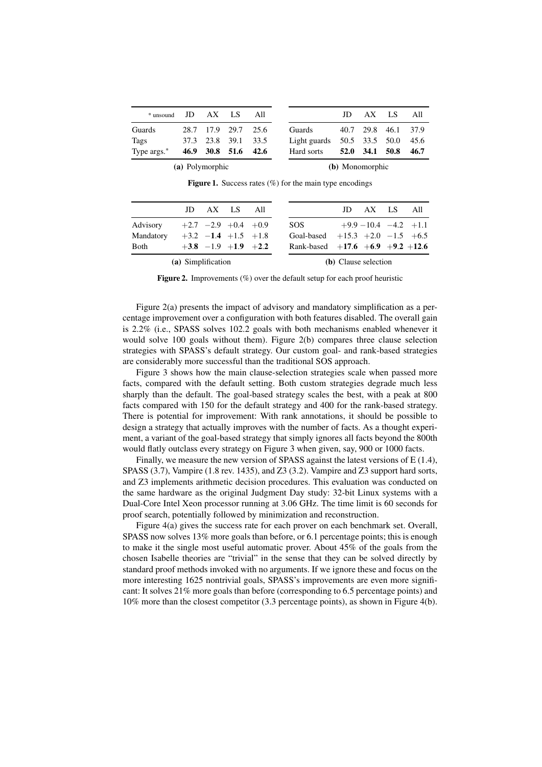| $*$ unsound JD $AX$ LS |  |  |                     | All |                                      | ID |  | AX LS All           |      |
|------------------------|--|--|---------------------|-----|--------------------------------------|----|--|---------------------|------|
| Guards                 |  |  | 28.7 17.9 29.7 25.6 |     | Guards                               |    |  | 40.7 29.8 46.1 37.9 |      |
| Tags                   |  |  | 37.3 23.8 39.1 33.5 |     | Light guards $50.5$ 33.5 $50.0$ 45.6 |    |  |                     |      |
| Type args.*            |  |  | 46.9 30.8 51.6 42.6 |     | Hard sorts                           |    |  | 52.0 34.1 50.8      | 46.7 |
| (a) Polymorphic        |  |  |                     |     | (b) Monomorphic                      |    |  |                     |      |

**Figure 1.** Success rates  $(\%)$  for the main type encodings

Figure 2. Improvements (%) over the default setup for each proof heuristic

Figure 2(a) presents the impact of advisory and mandatory simplification as a percentage improvement over a configuration with both features disabled. The overall gain is 2.2% (i.e., SPASS solves 102.2 goals with both mechanisms enabled whenever it would solve 100 goals without them). Figure 2(b) compares three clause selection strategies with SPASS's default strategy. Our custom goal- and rank-based strategies are considerably more successful than the traditional SOS approach.

Figure 3 shows how the main clause-selection strategies scale when passed more facts, compared with the default setting. Both custom strategies degrade much less sharply than the default. The goal-based strategy scales the best, with a peak at 800 facts compared with 150 for the default strategy and 400 for the rank-based strategy. There is potential for improvement: With rank annotations, it should be possible to design a strategy that actually improves with the number of facts. As a thought experiment, a variant of the goal-based strategy that simply ignores all facts beyond the 800th would flatly outclass every strategy on Figure 3 when given, say, 900 or 1000 facts.

Finally, we measure the new version of SPASS against the latest versions of E (1.4), SPASS (3.7), Vampire (1.8 rev. 1435), and Z3 (3.2). Vampire and Z3 support hard sorts, and Z3 implements arithmetic decision procedures. This evaluation was conducted on the same hardware as the original Judgment Day study: 32-bit Linux systems with a Dual-Core Intel Xeon processor running at 3.06 GHz. The time limit is 60 seconds for proof search, potentially followed by minimization and reconstruction.

Figure 4(a) gives the success rate for each prover on each benchmark set. Overall, SPASS now solves 13% more goals than before, or 6.1 percentage points; this is enough to make it the single most useful automatic prover. About 45% of the goals from the chosen Isabelle theories are "trivial" in the sense that they can be solved directly by standard proof methods invoked with no arguments. If we ignore these and focus on the more interesting 1625 nontrivial goals, SPASS's improvements are even more significant: It solves 21% more goals than before (corresponding to 6.5 percentage points) and 10% more than the closest competitor (3.3 percentage points), as shown in Figure 4(b).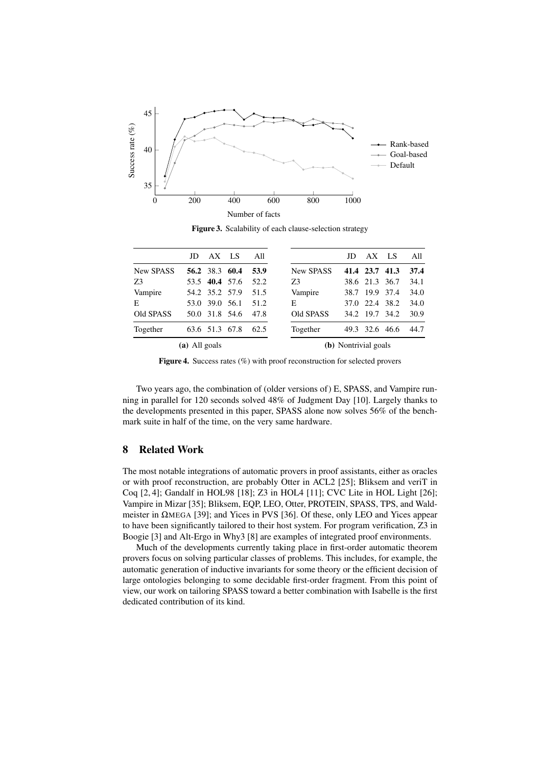

Figure 3. Scalability of each clause-selection strategy

|               | JD   |                | AX LS     | All  |                      | JD   | AX             | LS.  | All  |
|---------------|------|----------------|-----------|------|----------------------|------|----------------|------|------|
| New SPASS     |      | 56.2 38.3 60.4 |           | 53.9 | <b>New SPASS</b>     |      | 41.4 23.7 41.3 |      | 37.4 |
| 73            | 53.5 |                | 40.4 57.6 | 52.2 | Z3                   |      | 38.6 21.3 36.7 |      | 34.1 |
| Vampire       |      | 54.2 35.2 57.9 |           | 51.5 | Vampire              | 38.7 | 19.9           | 37.4 | 34.0 |
| E             | 53.0 | 39.0 56.1      |           | 51.2 | Е                    | 37.0 | 22.4 38.2      |      | 34.0 |
| Old SPASS     | 50.0 |                | 31.8 54.6 | 47.8 | Old SPASS            | 34.2 | 19.7           | 34.2 | 30.9 |
| Together      |      | 63.6 51.3      | 67.8      | 62.5 | Together             | 49.3 | 32.6           | 46.6 | 44.7 |
| (a) All goals |      |                |           |      | (b) Nontrivial goals |      |                |      |      |

Figure 4. Success rates (%) with proof reconstruction for selected provers

Two years ago, the combination of (older versions of) E, SPASS, and Vampire running in parallel for 120 seconds solved 48% of Judgment Day [10]. Largely thanks to the developments presented in this paper, SPASS alone now solves 56% of the benchmark suite in half of the time, on the very same hardware.

# 8 Related Work

The most notable integrations of automatic provers in proof assistants, either as oracles or with proof reconstruction, are probably Otter in ACL2 [25]; Bliksem and veriT in Coq [2, 4]; Gandalf in HOL98 [18]; Z3 in HOL4 [11]; CVC Lite in HOL Light [26]; Vampire in Mizar [35]; Bliksem, EQP, LEO, Otter, PROTEIN, SPASS, TPS, and Waldmeister in ΩMEGA [39]; and Yices in PVS [36]. Of these, only LEO and Yices appear to have been significantly tailored to their host system. For program verification, Z3 in Boogie [3] and Alt-Ergo in Why3 [8] are examples of integrated proof environments.

Much of the developments currently taking place in first-order automatic theorem provers focus on solving particular classes of problems. This includes, for example, the automatic generation of inductive invariants for some theory or the efficient decision of large ontologies belonging to some decidable first-order fragment. From this point of view, our work on tailoring SPASS toward a better combination with Isabelle is the first dedicated contribution of its kind.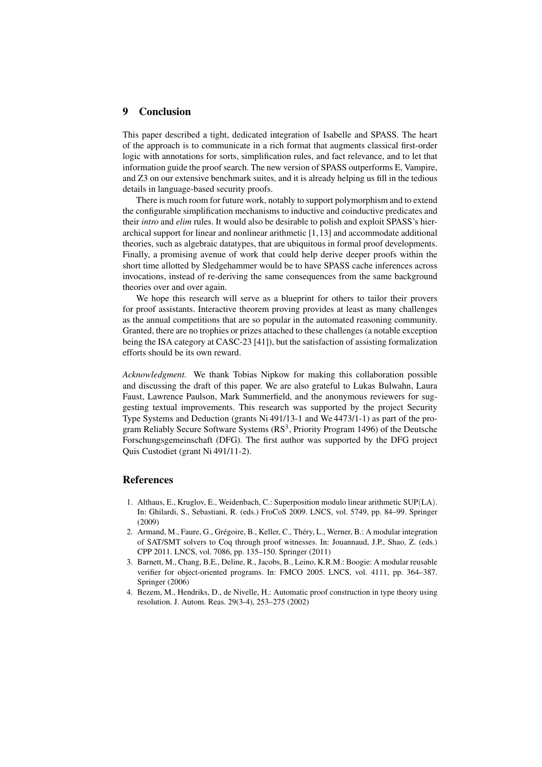#### 9 Conclusion

This paper described a tight, dedicated integration of Isabelle and SPASS. The heart of the approach is to communicate in a rich format that augments classical first-order logic with annotations for sorts, simplification rules, and fact relevance, and to let that information guide the proof search. The new version of SPASS outperforms E, Vampire, and Z3 on our extensive benchmark suites, and it is already helping us fill in the tedious details in language-based security proofs.

There is much room for future work, notably to support polymorphism and to extend the configurable simplification mechanisms to inductive and coinductive predicates and their *intro* and *elim* rules. It would also be desirable to polish and exploit SPASS's hierarchical support for linear and nonlinear arithmetic [1,13] and accommodate additional theories, such as algebraic datatypes, that are ubiquitous in formal proof developments. Finally, a promising avenue of work that could help derive deeper proofs within the short time allotted by Sledgehammer would be to have SPASS cache inferences across invocations, instead of re-deriving the same consequences from the same background theories over and over again.

We hope this research will serve as a blueprint for others to tailor their provers for proof assistants. Interactive theorem proving provides at least as many challenges as the annual competitions that are so popular in the automated reasoning community. Granted, there are no trophies or prizes attached to these challenges (a notable exception being the ISA category at CASC-23 [41]), but the satisfaction of assisting formalization efforts should be its own reward.

*Acknowledgment.* We thank Tobias Nipkow for making this collaboration possible and discussing the draft of this paper. We are also grateful to Lukas Bulwahn, Laura Faust, Lawrence Paulson, Mark Summerfield, and the anonymous reviewers for suggesting textual improvements. This research was supported by the project Security Type Systems and Deduction (grants Ni 491/13-1 and We 4473/1-1) as part of the program Reliably Secure Software Systems  $(RS^3, Priority Program 1496)$  of the Deutsche Forschungsgemeinschaft (DFG). The first author was supported by the DFG project Quis Custodiet (grant Ni 491/11-2).

#### References

- 1. Althaus, E., Kruglov, E., Weidenbach, C.: Superposition modulo linear arithmetic SUP(LA). In: Ghilardi, S., Sebastiani, R. (eds.) FroCoS 2009. LNCS, vol. 5749, pp. 84–99. Springer (2009)
- 2. Armand, M., Faure, G., Grégoire, B., Keller, C., Théry, L., Werner, B.: A modular integration of SAT/SMT solvers to Coq through proof witnesses. In: Jouannaud, J.P., Shao, Z. (eds.) CPP 2011. LNCS, vol. 7086, pp. 135–150. Springer (2011)
- 3. Barnett, M., Chang, B.E., Deline, R., Jacobs, B., Leino, K.R.M.: Boogie: A modular reusable verifier for object-oriented programs. In: FMCO 2005. LNCS, vol. 4111, pp. 364–387. Springer (2006)
- 4. Bezem, M., Hendriks, D., de Nivelle, H.: Automatic proof construction in type theory using resolution. J. Autom. Reas. 29(3-4), 253–275 (2002)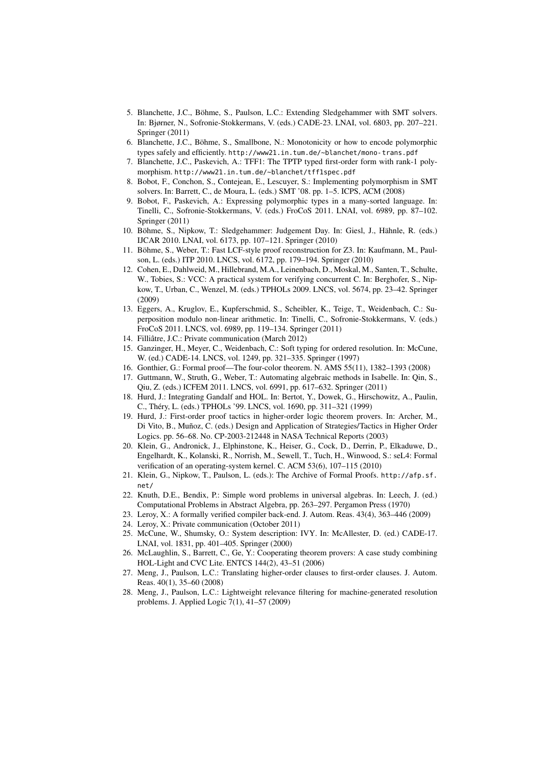- 5. Blanchette, J.C., Böhme, S., Paulson, L.C.: Extending Sledgehammer with SMT solvers. In: Bjørner, N., Sofronie-Stokkermans, V. (eds.) CADE-23. LNAI, vol. 6803, pp. 207–221. Springer (2011)
- 6. Blanchette, J.C., Böhme, S., Smallbone, N.: Monotonicity or how to encode polymorphic types safely and efficiently. http://www21.in.tum.de/~blanchet/mono-trans.pdf
- 7. Blanchette, J.C., Paskevich, A.: TFF1: The TPTP typed first-order form with rank-1 polymorphism. http://www21.in.tum.de/~blanchet/tff1spec.pdf
- 8. Bobot, F., Conchon, S., Contejean, E., Lescuyer, S.: Implementing polymorphism in SMT solvers. In: Barrett, C., de Moura, L. (eds.) SMT '08. pp. 1–5. ICPS, ACM (2008)
- 9. Bobot, F., Paskevich, A.: Expressing polymorphic types in a many-sorted language. In: Tinelli, C., Sofronie-Stokkermans, V. (eds.) FroCoS 2011. LNAI, vol. 6989, pp. 87–102. Springer (2011)
- 10. Böhme, S., Nipkow, T.: Sledgehammer: Judgement Day. In: Giesl, J., Hähnle, R. (eds.) IJCAR 2010. LNAI, vol. 6173, pp. 107–121. Springer (2010)
- 11. Böhme, S., Weber, T.: Fast LCF-style proof reconstruction for Z3. In: Kaufmann, M., Paulson, L. (eds.) ITP 2010. LNCS, vol. 6172, pp. 179–194. Springer (2010)
- 12. Cohen, E., Dahlweid, M., Hillebrand, M.A., Leinenbach, D., Moskal, M., Santen, T., Schulte, W., Tobies, S.: VCC: A practical system for verifying concurrent C. In: Berghofer, S., Nipkow, T., Urban, C., Wenzel, M. (eds.) TPHOLs 2009. LNCS, vol. 5674, pp. 23–42. Springer (2009)
- 13. Eggers, A., Kruglov, E., Kupferschmid, S., Scheibler, K., Teige, T., Weidenbach, C.: Superposition modulo non-linear arithmetic. In: Tinelli, C., Sofronie-Stokkermans, V. (eds.) FroCoS 2011. LNCS, vol. 6989, pp. 119–134. Springer (2011)
- 14. Filliâtre, J.C.: Private communication (March 2012)
- 15. Ganzinger, H., Meyer, C., Weidenbach, C.: Soft typing for ordered resolution. In: McCune, W. (ed.) CADE-14. LNCS, vol. 1249, pp. 321–335. Springer (1997)
- 16. Gonthier, G.: Formal proof—The four-color theorem. N. AMS 55(11), 1382–1393 (2008)
- 17. Guttmann, W., Struth, G., Weber, T.: Automating algebraic methods in Isabelle. In: Qin, S., Qiu, Z. (eds.) ICFEM 2011. LNCS, vol. 6991, pp. 617–632. Springer (2011)
- 18. Hurd, J.: Integrating Gandalf and HOL. In: Bertot, Y., Dowek, G., Hirschowitz, A., Paulin, C., Théry, L. (eds.) TPHOLs '99. LNCS, vol. 1690, pp. 311–321 (1999)
- 19. Hurd, J.: First-order proof tactics in higher-order logic theorem provers. In: Archer, M., Di Vito, B., Muñoz, C. (eds.) Design and Application of Strategies/Tactics in Higher Order Logics. pp. 56–68. No. CP-2003-212448 in NASA Technical Reports (2003)
- 20. Klein, G., Andronick, J., Elphinstone, K., Heiser, G., Cock, D., Derrin, P., Elkaduwe, D., Engelhardt, K., Kolanski, R., Norrish, M., Sewell, T., Tuch, H., Winwood, S.: seL4: Formal verification of an operating-system kernel. C. ACM 53(6), 107–115 (2010)
- 21. Klein, G., Nipkow, T., Paulson, L. (eds.): The Archive of Formal Proofs. http://afp.sf. net/
- 22. Knuth, D.E., Bendix, P.: Simple word problems in universal algebras. In: Leech, J. (ed.) Computational Problems in Abstract Algebra, pp. 263–297. Pergamon Press (1970)
- 23. Leroy, X.: A formally verified compiler back-end. J. Autom. Reas. 43(4), 363–446 (2009)
- 24. Leroy, X.: Private communication (October 2011)
- 25. McCune, W., Shumsky, O.: System description: IVY. In: McAllester, D. (ed.) CADE-17. LNAI, vol. 1831, pp. 401–405. Springer (2000)
- 26. McLaughlin, S., Barrett, C., Ge, Y.: Cooperating theorem provers: A case study combining HOL-Light and CVC Lite. ENTCS 144(2), 43–51 (2006)
- 27. Meng, J., Paulson, L.C.: Translating higher-order clauses to first-order clauses. J. Autom. Reas. 40(1), 35–60 (2008)
- 28. Meng, J., Paulson, L.C.: Lightweight relevance filtering for machine-generated resolution problems. J. Applied Logic 7(1), 41–57 (2009)